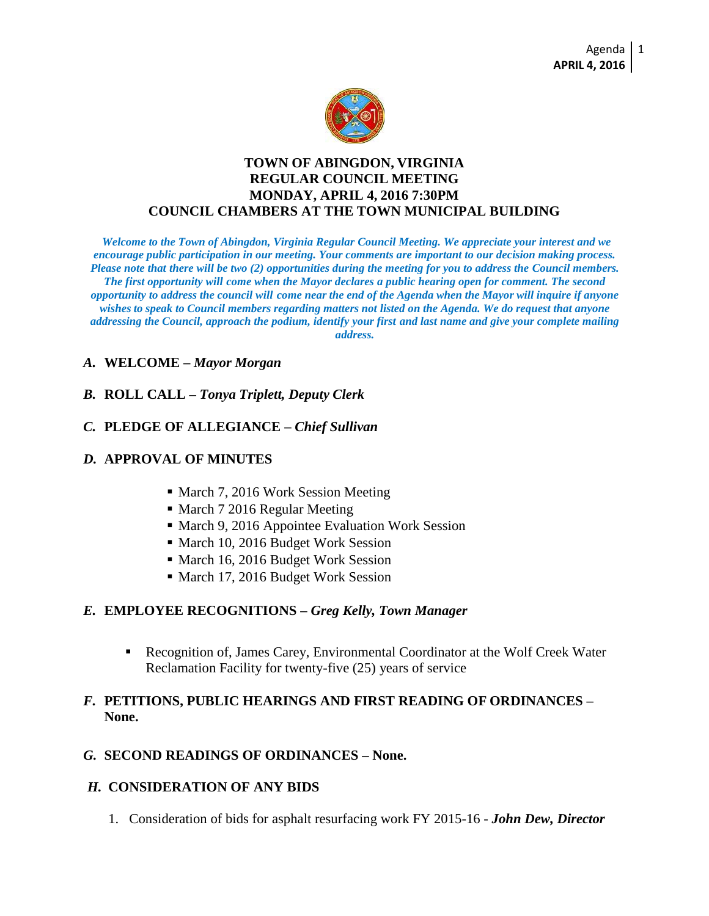

## **TOWN OF ABINGDON, VIRGINIA REGULAR COUNCIL MEETING MONDAY, APRIL 4, 2016 7:30PM COUNCIL CHAMBERS AT THE TOWN MUNICIPAL BUILDING**

*Welcome to the Town of Abingdon, Virginia Regular Council Meeting. We appreciate your interest and we encourage public participation in our meeting. Your comments are important to our decision making process. Please note that there will be two (2) opportunities during the meeting for you to address the Council members. The first opportunity will come when the Mayor declares a public hearing open for comment. The second opportunity to address the council will come near the end of the Agenda when the Mayor will inquire if anyone wishes to speak to Council members regarding matters not listed on the Agenda. We do request that anyone addressing the Council, approach the podium, identify your first and last name and give your complete mailing address.*

## *A.* **WELCOME –** *Mayor Morgan*

## *B.* **ROLL CALL –** *Tonya Triplett, Deputy Clerk*

## *C.* **PLEDGE OF ALLEGIANCE –** *Chief Sullivan*

## *D.* **APPROVAL OF MINUTES**

- March 7, 2016 Work Session Meeting
- March 7 2016 Regular Meeting
- March 9, 2016 Appointee Evaluation Work Session
- March 10, 2016 Budget Work Session
- March 16, 2016 Budget Work Session
- March 17, 2016 Budget Work Session

### *E.* **EMPLOYEE RECOGNITIONS –** *Greg Kelly, Town Manager*

 Recognition of, James Carey, Environmental Coordinator at the Wolf Creek Water Reclamation Facility for twenty-five (25) years of service

## *F.* **PETITIONS, PUBLIC HEARINGS AND FIRST READING OF ORDINANCES – None.**

### *G.* **SECOND READINGS OF ORDINANCES – None.**

#### *H.* **CONSIDERATION OF ANY BIDS**

1. Consideration of bids for asphalt resurfacing work FY 2015-16 - *John Dew, Director*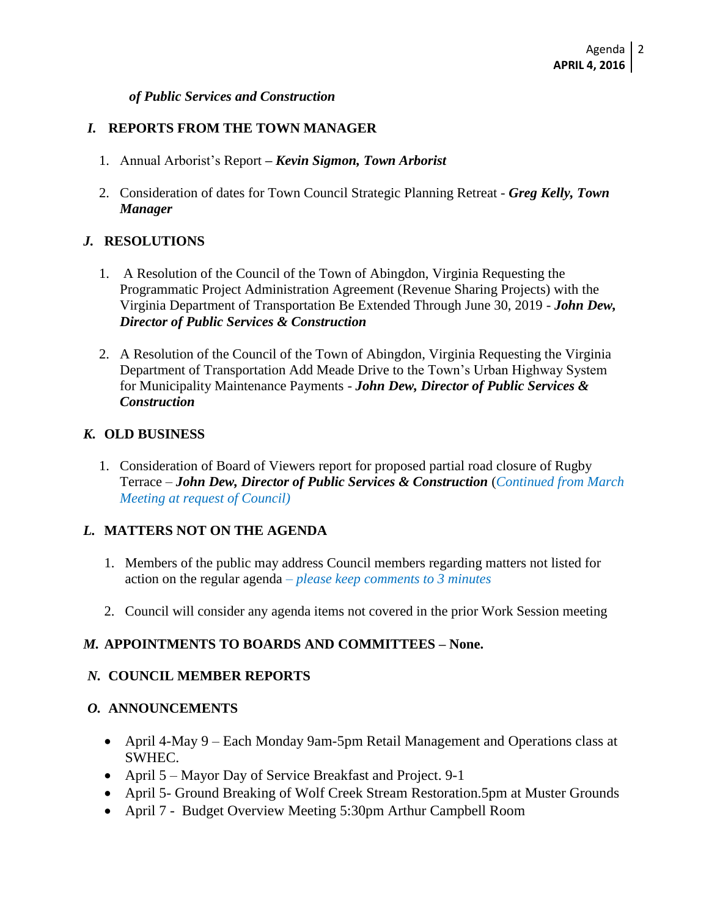#### *of Public Services and Construction*

## *I.* **REPORTS FROM THE TOWN MANAGER**

- 1. Annual Arborist's Report *– Kevin Sigmon, Town Arborist*
- 2. Consideration of dates for Town Council Strategic Planning Retreat *Greg Kelly, Town Manager*

## *J.* **RESOLUTIONS**

- 1. A Resolution of the Council of the Town of Abingdon, Virginia Requesting the Programmatic Project Administration Agreement (Revenue Sharing Projects) with the Virginia Department of Transportation Be Extended Through June 30, 2019 - *John Dew, Director of Public Services & Construction*
- 2. A Resolution of the Council of the Town of Abingdon, Virginia Requesting the Virginia Department of Transportation Add Meade Drive to the Town's Urban Highway System for Municipality Maintenance Payments - *John Dew, Director of Public Services & Construction*

## *K.* **OLD BUSINESS**

1. Consideration of Board of Viewers report for proposed partial road closure of Rugby Terrace – *John Dew, Director of Public Services & Construction* (*Continued from March Meeting at request of Council)*

## *L.* **MATTERS NOT ON THE AGENDA**

- 1. Members of the public may address Council members regarding matters not listed for action on the regular agenda *– please keep comments to 3 minutes*
- 2. Council will consider any agenda items not covered in the prior Work Session meeting

## *M.* **APPOINTMENTS TO BOARDS AND COMMITTEES – None.**

### *N.* **COUNCIL MEMBER REPORTS**

### *O.* **ANNOUNCEMENTS**

- April 4-May 9 Each Monday 9am-5pm Retail Management and Operations class at SWHEC.
- April 5 Mayor Day of Service Breakfast and Project. 9-1
- April 5- Ground Breaking of Wolf Creek Stream Restoration.5pm at Muster Grounds
- April 7 Budget Overview Meeting 5:30pm Arthur Campbell Room